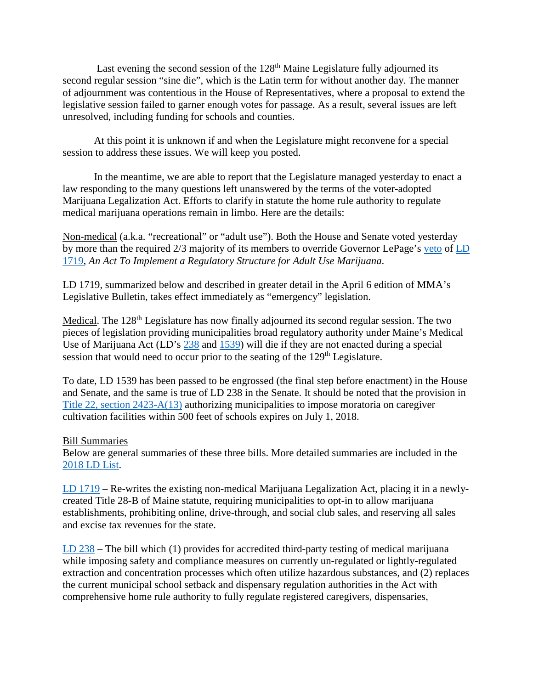Last evening the second session of the  $128<sup>th</sup>$  Maine Legislature fully adjourned its second regular session "sine die", which is the Latin term for without another day. The manner of adjournment was contentious in the House of Representatives, where a proposal to extend the legislative session failed to garner enough votes for passage. As a result, several issues are left unresolved, including funding for schools and counties.

At this point it is unknown if and when the Legislature might reconvene for a special session to address these issues. We will keep you posted.

In the meantime, we are able to report that the Legislature managed yesterday to enact a law responding to the many questions left unanswered by the terms of the voter-adopted Marijuana Legalization Act. Efforts to clarify in statute the home rule authority to regulate medical marijuana operations remain in limbo. Here are the details:

Non-medical (a.k.a. "recreational" or "adult use"). Both the House and Senate voted yesterday by more than the required 2/3 majority of its members to override Governor LePage's [veto](http://www.maine.gov/tools/whatsnew/attach.php?id=795461&an=1) of [LD](http://www.mainelegislature.org/legis/bills/getPDF.asp?paper=HP1199&item=2&snum=128)  [1719,](http://www.mainelegislature.org/legis/bills/getPDF.asp?paper=HP1199&item=2&snum=128) *An Act To Implement a Regulatory Structure for Adult Use Marijuana*.

LD 1719, summarized below and described in greater detail in the April 6 edition of MMA's Legislative Bulletin, takes effect immediately as "emergency" legislation.

Medical. The 128<sup>th</sup> Legislature has now finally adjourned its second regular session. The two pieces of legislation providing municipalities broad regulatory authority under Maine's Medical Use of Marijuana Act (LD's [238](http://legislature.maine.gov/LawMakerWeb/summary.asp?ID=280062797) and [1539\)](http://legislature.maine.gov/LawMakerWeb/summary.asp?ID=280065073) will die if they are not enacted during a special session that would need to occur prior to the seating of the  $129<sup>th</sup>$  Legislature.

To date, LD 1539 has been passed to be engrossed (the final step before enactment) in the House and Senate, and the same is true of LD 238 in the Senate. It should be noted that the provision in [Title 22, section 2423-A\(13\)](http://legislature.maine.gov/legis/statutes/22/title22sec2423-A.pdf) authorizing municipalities to impose moratoria on caregiver cultivation facilities within 500 feet of schools expires on July 1, 2018.

## Bill Summaries

Below are general summaries of these three bills. More detailed summaries are included in the [2018 LD List.](https://memun.org/DesktopModules/Bring2mind/DMX/Download.aspx?Command=Core_Download&EntryId=10729&language=en-US&PortalId=0&TabId=204)

[LD 1719](http://www.mainelegislature.org/legis/bills/getPDF.asp?paper=HP1199&item=3&snum=128) – Re-writes the existing non-medical Marijuana Legalization Act, placing it in a newlycreated Title 28-B of Maine statute, requiring municipalities to opt-in to allow marijuana establishments, prohibiting online, drive-through, and social club sales, and reserving all sales and excise tax revenues for the state.

[LD 238](http://www.mainelegislature.org/legis/bills/getPDF.asp?paper=SP0084&item=2&snum=128) – The bill which (1) provides for accredited third-party testing of medical marijuana while imposing safety and compliance measures on currently un-regulated or lightly-regulated extraction and concentration processes which often utilize hazardous substances, and (2) replaces the current municipal school setback and dispensary regulation authorities in the Act with comprehensive home rule authority to fully regulate registered caregivers, dispensaries,